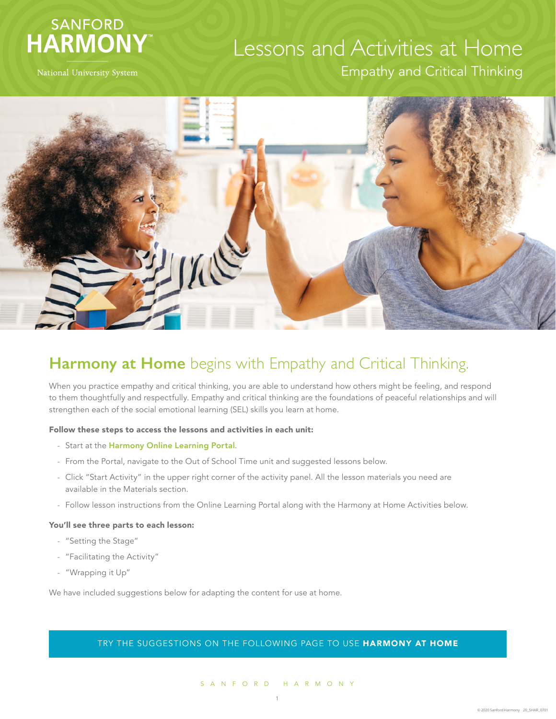



#### **Harmony at Home** begins with Empathy and Critical Thinking.

When you practice empathy and critical thinking, you are able to understand how others might be feeling, and respond to them thoughtfully and respectfully. Empathy and critical thinking are the foundations of peaceful relationships and will strengthen each of the social emotional learning (SEL) skills you learn at home.

#### Follow these steps to access the lessons and activities in each unit:

- Start at the [Harmony Online Learning Portal](https://online.sanfordharmony.org/).
- From the Portal, navigate to the Out of School Time unit and suggested lessons below.
- Click "Start Activity" in the upper right corner of the activity panel. All the lesson materials you need are available in the Materials section.
- Follow lesson instructions from the Online Learning Portal along with the Harmony at Home Activities below.

#### You'll see three parts to each lesson:

- "Setting the Stage"
- "Facilitating the Activity"
- "Wrapping it Up"

We have included suggestions below for adapting the content for use at home.

#### TRY THE SUGGESTIONS ON THE FOLLOWING PAGE TO USE HARMONY AT HOME

#### SANFORD HARMONY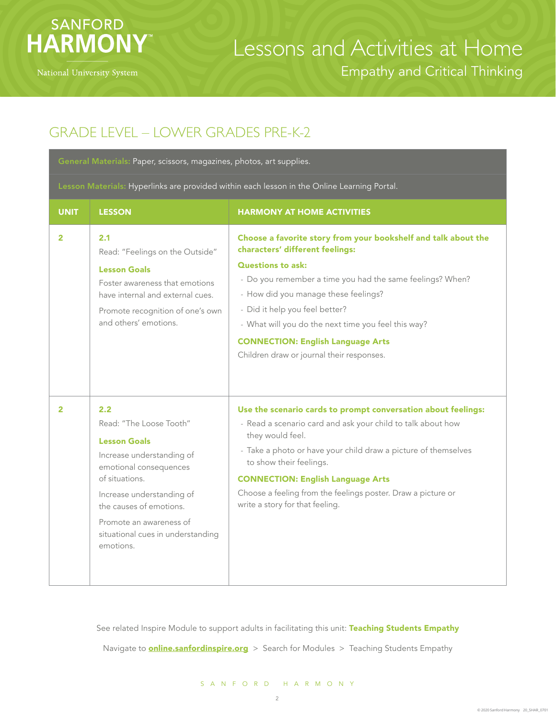

#### GRADE LEVEL – LOWER GRADES PRE-K-2

General Materials: Paper, scissors, magazines, photos, art supplies.

Lesson Materials: Hyperlinks are provided within each lesson in the Online Learning Portal.

| <b>UNIT</b>  | <b>LESSON</b>                                                                                                                                                                                                                                                      | <b>HARMONY AT HOME ACTIVITIES</b>                                                                                                                                                                                                                                                                                                                                                                                    |
|--------------|--------------------------------------------------------------------------------------------------------------------------------------------------------------------------------------------------------------------------------------------------------------------|----------------------------------------------------------------------------------------------------------------------------------------------------------------------------------------------------------------------------------------------------------------------------------------------------------------------------------------------------------------------------------------------------------------------|
| $\mathbf{2}$ | 2.1<br>Read: "Feelings on the Outside"<br><b>Lesson Goals</b><br>Foster awareness that emotions<br>have internal and external cues.<br>Promote recognition of one's own<br>and others' emotions.                                                                   | Choose a favorite story from your bookshelf and talk about the<br>characters' different feelings:<br><b>Questions to ask:</b><br>- Do you remember a time you had the same feelings? When?<br>- How did you manage these feelings?<br>- Did it help you feel better?<br>- What will you do the next time you feel this way?<br><b>CONNECTION: English Language Arts</b><br>Children draw or journal their responses. |
| $\mathbf{2}$ | 2.2<br>Read: "The Loose Tooth"<br><b>Lesson Goals</b><br>Increase understanding of<br>emotional consequences<br>of situations.<br>Increase understanding of<br>the causes of emotions.<br>Promote an awareness of<br>situational cues in understanding<br>emotions | Use the scenario cards to prompt conversation about feelings:<br>- Read a scenario card and ask your child to talk about how<br>they would feel.<br>- Take a photo or have your child draw a picture of themselves<br>to show their feelings.<br><b>CONNECTION: English Language Arts</b><br>Choose a feeling from the feelings poster. Draw a picture or<br>write a story for that feeling.                         |

See related Inspire Module to support adults in facilitating this unit: Teaching Students Empathy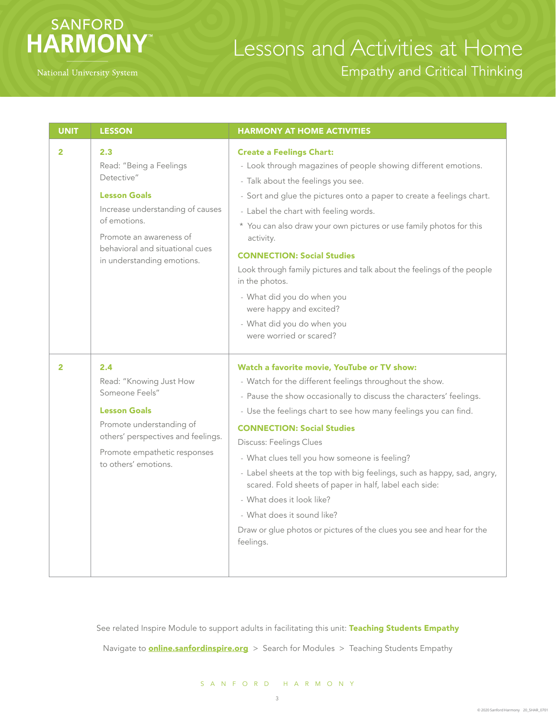

| <b>UNIT</b>    | <b>LESSON</b>                                                                                                                                                                                                       | <b>HARMONY AT HOME ACTIVITIES</b>                                                                                                                                                                                                                                                                                                                                                                                                                                                                                                                                                                                                                      |
|----------------|---------------------------------------------------------------------------------------------------------------------------------------------------------------------------------------------------------------------|--------------------------------------------------------------------------------------------------------------------------------------------------------------------------------------------------------------------------------------------------------------------------------------------------------------------------------------------------------------------------------------------------------------------------------------------------------------------------------------------------------------------------------------------------------------------------------------------------------------------------------------------------------|
| $\overline{2}$ | 2.3<br>Read: "Being a Feelings<br>Detective"<br><b>Lesson Goals</b><br>Increase understanding of causes<br>of emotions.<br>Promote an awareness of<br>behavioral and situational cues<br>in understanding emotions. | <b>Create a Feelings Chart:</b><br>- Look through magazines of people showing different emotions.<br>- Talk about the feelings you see.<br>- Sort and glue the pictures onto a paper to create a feelings chart.<br>- Label the chart with feeling words.<br>* You can also draw your own pictures or use family photos for this<br>activity.<br><b>CONNECTION: Social Studies</b><br>Look through family pictures and talk about the feelings of the people<br>in the photos.<br>- What did you do when you<br>were happy and excited?<br>- What did you do when you<br>were worried or scared?                                                       |
| 2              | 2.4<br>Read: "Knowing Just How<br>Someone Feels"<br><b>Lesson Goals</b><br>Promote understanding of<br>others' perspectives and feelings.<br>Promote empathetic responses<br>to others' emotions.                   | Watch a favorite movie, YouTube or TV show:<br>- Watch for the different feelings throughout the show.<br>- Pause the show occasionally to discuss the characters' feelings.<br>- Use the feelings chart to see how many feelings you can find.<br><b>CONNECTION: Social Studies</b><br>Discuss: Feelings Clues<br>- What clues tell you how someone is feeling?<br>- Label sheets at the top with big feelings, such as happy, sad, angry,<br>scared. Fold sheets of paper in half, label each side:<br>- What does it look like?<br>- What does it sound like?<br>Draw or glue photos or pictures of the clues you see and hear for the<br>feelings. |

See related Inspire Module to support adults in facilitating this unit: Teaching Students Empathy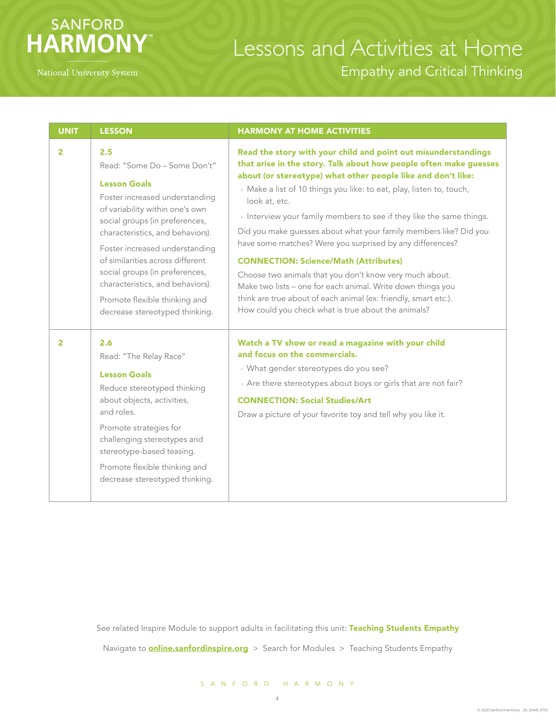## SANFORD **HARMONY**

# Lessons and Activities at Home Empathy and Critical Thinking

| <b>UNIT</b>    | <b>LESSON</b>                                                                                                                                                                                                                                                                                                                                                                                                        | <b>HARMONY AT HOME ACTIVITIES</b>                                                                                                                                                                                                                                                                                                                                                                                                                                                                                                                                                                                                                                                                                                                                                                          |
|----------------|----------------------------------------------------------------------------------------------------------------------------------------------------------------------------------------------------------------------------------------------------------------------------------------------------------------------------------------------------------------------------------------------------------------------|------------------------------------------------------------------------------------------------------------------------------------------------------------------------------------------------------------------------------------------------------------------------------------------------------------------------------------------------------------------------------------------------------------------------------------------------------------------------------------------------------------------------------------------------------------------------------------------------------------------------------------------------------------------------------------------------------------------------------------------------------------------------------------------------------------|
| $\overline{2}$ | 2.5<br>Read: "Some Do - Some Don't"<br><b>Lesson Goals</b><br>Foster increased understanding<br>of variability within one's own<br>social groups (in preferences,<br>characteristics, and behaviors).<br>Foster increased understanding<br>of similarities across different<br>social groups (in preferences,<br>characteristics, and behaviors).<br>Promote flexible thinking and<br>decrease stereotyped thinking. | Read the story with your child and point out misunderstandings<br>that arise in the story. Talk about how people often make guesses<br>about (or stereotype) what other people like and don't like:<br>- Make a list of 10 things you like: to eat, play, listen to, touch,<br>look at, etc.<br>- Interview your family members to see if they like the same things.<br>Did you make guesses about what your family members like? Did you<br>have some matches? Were you surprised by any differences?<br><b>CONNECTION: Science/Math (Attributes)</b><br>Choose two animals that you don't know very much about.<br>Make two lists - one for each animal. Write down things you<br>think are true about of each animal (ex: friendly, smart etc.).<br>How could you check what is true about the animals? |
| $\overline{2}$ | 2.6<br>Read: "The Relay Race"<br><b>Lesson Goals</b><br>Reduce stereotyped thinking<br>about objects, activities,<br>and roles.<br>Promote strategies for<br>challenging stereotypes and<br>stereotype-based teasing.<br>Promote flexible thinking and<br>decrease stereotyped thinking.                                                                                                                             | Watch a TV show or read a magazine with your child<br>and focus on the commercials.<br>- What gender stereotypes do you see?<br>- Are there stereotypes about boys or girls that are not fair?<br><b>CONNECTION: Social Studies/Art</b><br>Draw a picture of your favorite toy and tell why you like it.                                                                                                                                                                                                                                                                                                                                                                                                                                                                                                   |

See related Inspire Module to support adults in facilitating this unit: Teaching Students Empathy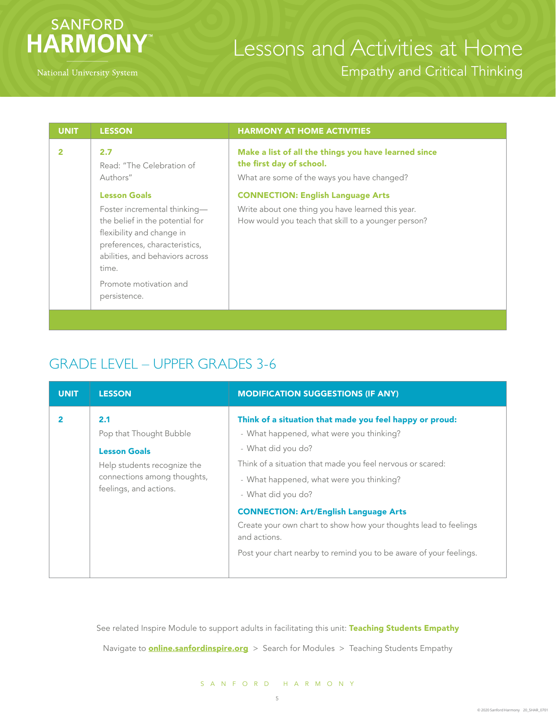

| <b>UNIT</b> | <b>LESSON</b>                                                                                                                                                                                                       | <b>HARMONY AT HOME ACTIVITIES</b>                                                                                                                                           |
|-------------|---------------------------------------------------------------------------------------------------------------------------------------------------------------------------------------------------------------------|-----------------------------------------------------------------------------------------------------------------------------------------------------------------------------|
|             | 2.7<br>Read: "The Celebration of<br>Authors"<br><b>Lesson Goals</b>                                                                                                                                                 | Make a list of all the things you have learned since<br>the first day of school.<br>What are some of the ways you have changed?<br><b>CONNECTION: English Language Arts</b> |
|             | Foster incremental thinking-<br>the belief in the potential for<br>flexibility and change in<br>preferences, characteristics,<br>abilities, and behaviors across<br>time.<br>Promote motivation and<br>persistence. | Write about one thing you have learned this year.<br>How would you teach that skill to a younger person?                                                                    |
|             |                                                                                                                                                                                                                     |                                                                                                                                                                             |

#### GRADE LEVEL – UPPER GRADES 3-6

| <b>UNIT</b> | <b>LESSON</b>                                                                                                                                 | <b>MODIFICATION SUGGESTIONS (IF ANY)</b>                                                                                                                                                                                                                                                                                                                                                                                                                            |
|-------------|-----------------------------------------------------------------------------------------------------------------------------------------------|---------------------------------------------------------------------------------------------------------------------------------------------------------------------------------------------------------------------------------------------------------------------------------------------------------------------------------------------------------------------------------------------------------------------------------------------------------------------|
|             | 2.1<br>Pop that Thought Bubble<br><b>Lesson Goals</b><br>Help students recognize the<br>connections among thoughts,<br>feelings, and actions. | Think of a situation that made you feel happy or proud:<br>- What happened, what were you thinking?<br>- What did you do?<br>Think of a situation that made you feel nervous or scared:<br>- What happened, what were you thinking?<br>- What did you do?<br><b>CONNECTION: Art/English Language Arts</b><br>Create your own chart to show how your thoughts lead to feelings<br>and actions.<br>Post your chart nearby to remind you to be aware of your feelings. |

See related Inspire Module to support adults in facilitating this unit: Teaching Students Empathy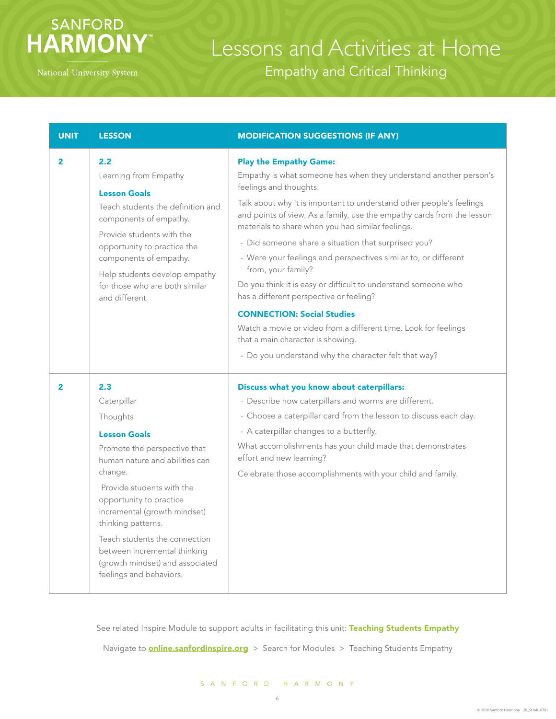## **SANFORD HARMONY**

# Lessons and Activities at Home Empathy and Critical Thinking

| <b>UNIT</b>    | <b>LESSON</b>                                                                                                                                                                                                                                                                                                                                                                   | <b>MODIFICATION SUGGESTIONS (IF ANY)</b>                                                                                                                                                                                                                                                                                                                                                                                                                                                                                                                                                                                                                                                                                                                                                             |
|----------------|---------------------------------------------------------------------------------------------------------------------------------------------------------------------------------------------------------------------------------------------------------------------------------------------------------------------------------------------------------------------------------|------------------------------------------------------------------------------------------------------------------------------------------------------------------------------------------------------------------------------------------------------------------------------------------------------------------------------------------------------------------------------------------------------------------------------------------------------------------------------------------------------------------------------------------------------------------------------------------------------------------------------------------------------------------------------------------------------------------------------------------------------------------------------------------------------|
| $\overline{2}$ | 2.2<br>Learning from Empathy<br><b>Lesson Goals</b><br>Teach students the definition and<br>components of empathy.<br>Provide students with the<br>opportunity to practice the<br>components of empathy.<br>Help students develop empathy<br>for those who are both similar<br>and different                                                                                    | <b>Play the Empathy Game:</b><br>Empathy is what someone has when they understand another person's<br>feelings and thoughts.<br>Talk about why it is important to understand other people's feelings<br>and points of view. As a family, use the empathy cards from the lesson<br>materials to share when you had similar feelings.<br>- Did someone share a situation that surprised you?<br>- Were your feelings and perspectives similar to, or different<br>from, your family?<br>Do you think it is easy or difficult to understand someone who<br>has a different perspective or feeling?<br><b>CONNECTION: Social Studies</b><br>Watch a movie or video from a different time. Look for feelings<br>that a main character is showing.<br>- Do you understand why the character felt that way? |
| $\overline{2}$ | 2.3<br>Caterpillar<br>Thoughts<br><b>Lesson Goals</b><br>Promote the perspective that<br>human nature and abilities can<br>change.<br>Provide students with the<br>opportunity to practice<br>incremental (growth mindset)<br>thinking patterns.<br>Teach students the connection<br>between incremental thinking<br>(growth mindset) and associated<br>feelings and behaviors. | Discuss what you know about caterpillars:<br>- Describe how caterpillars and worms are different.<br>- Choose a caterpillar card from the lesson to discuss each day.<br>- A caterpillar changes to a butterfly.<br>What accomplishments has your child made that demonstrates<br>effort and new learning?<br>Celebrate those accomplishments with your child and family.                                                                                                                                                                                                                                                                                                                                                                                                                            |

See related Inspire Module to support adults in facilitating this unit: Teaching Students Empathy